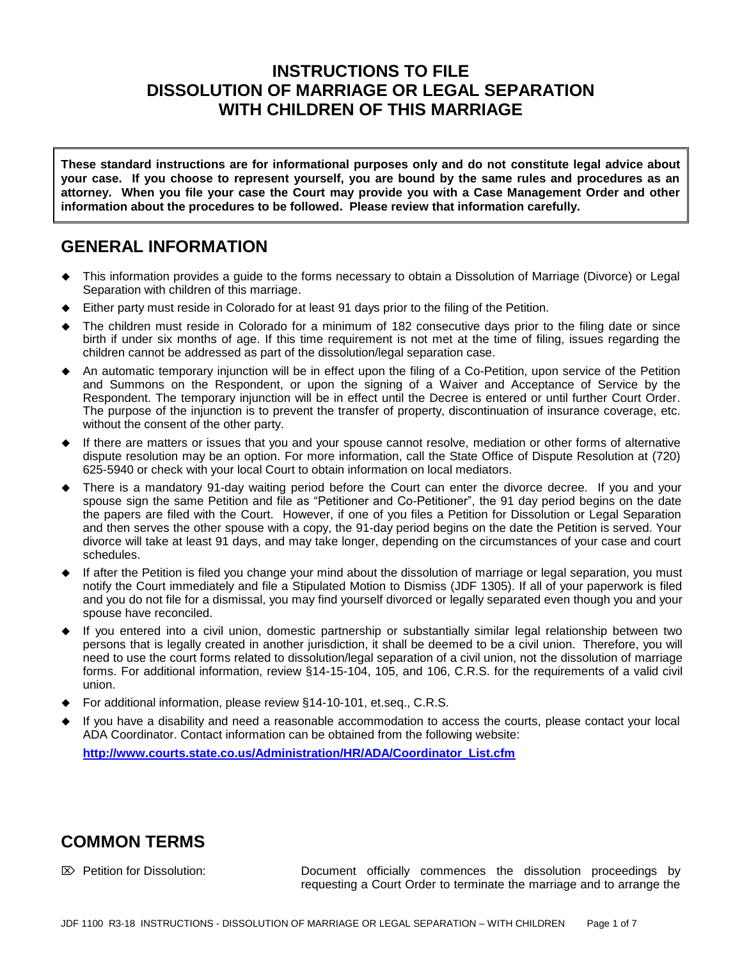# **INSTRUCTIONS TO FILE DISSOLUTION OF MARRIAGE OR LEGAL SEPARATION WITH CHILDREN OF THIS MARRIAGE**

**These standard instructions are for informational purposes only and do not constitute legal advice about your case. If you choose to represent yourself, you are bound by the same rules and procedures as an attorney. When you file your case the Court may provide you with a Case Management Order and other information about the procedures to be followed. Please review that information carefully.**

# **GENERAL INFORMATION**

- This information provides a guide to the forms necessary to obtain a Dissolution of Marriage (Divorce) or Legal Separation with children of this marriage.
- Either party must reside in Colorado for at least 91 days prior to the filing of the Petition.
- The children must reside in Colorado for a minimum of 182 consecutive days prior to the filing date or since birth if under six months of age. If this time requirement is not met at the time of filing, issues regarding the children cannot be addressed as part of the dissolution/legal separation case.
- An automatic temporary injunction will be in effect upon the filing of a Co-Petition, upon service of the Petition and Summons on the Respondent, or upon the signing of a Waiver and Acceptance of Service by the Respondent. The temporary injunction will be in effect until the Decree is entered or until further Court Order. The purpose of the injunction is to prevent the transfer of property, discontinuation of insurance coverage, etc. without the consent of the other party.
- If there are matters or issues that you and your spouse cannot resolve, mediation or other forms of alternative dispute resolution may be an option. For more information, call the State Office of Dispute Resolution at (720) 625-5940 or check with your local Court to obtain information on local mediators.
- There is a mandatory 91-day waiting period before the Court can enter the divorce decree. If you and your spouse sign the same Petition and file as "Petitioner and Co-Petitioner", the 91 day period begins on the date the papers are filed with the Court. However, if one of you files a Petition for Dissolution or Legal Separation and then serves the other spouse with a copy, the 91-day period begins on the date the Petition is served. Your divorce will take at least 91 days, and may take longer, depending on the circumstances of your case and court schedules.
- If after the Petition is filed you change your mind about the dissolution of marriage or legal separation, you must notify the Court immediately and file a Stipulated Motion to Dismiss (JDF 1305). If all of your paperwork is filed and you do not file for a dismissal, you may find yourself divorced or legally separated even though you and your spouse have reconciled.
- If you entered into a civil union, domestic partnership or substantially similar legal relationship between two persons that is legally created in another jurisdiction, it shall be deemed to be a civil union. Therefore, you will need to use the court forms related to dissolution/legal separation of a civil union, not the dissolution of marriage forms. For additional information, review §14-15-104, 105, and 106, C.R.S. for the requirements of a valid civil union.
- For additional information, please review §14-10-101, et.seq., C.R.S.
- If you have a disability and need a reasonable accommodation to access the courts, please contact your local ADA Coordinator. Contact information can be obtained from the following website:

**[http://www.courts.state.co.us/Administration/HR/ADA/Coordinator\\_List.cfm](http://www.courts.state.co.us/Administration/HR/ADA/Coordinator_List.cfm)**

# **COMMON TERMS**

 Petition for Dissolution: Document officially commences the dissolution proceedings by requesting a Court Order to terminate the marriage and to arrange the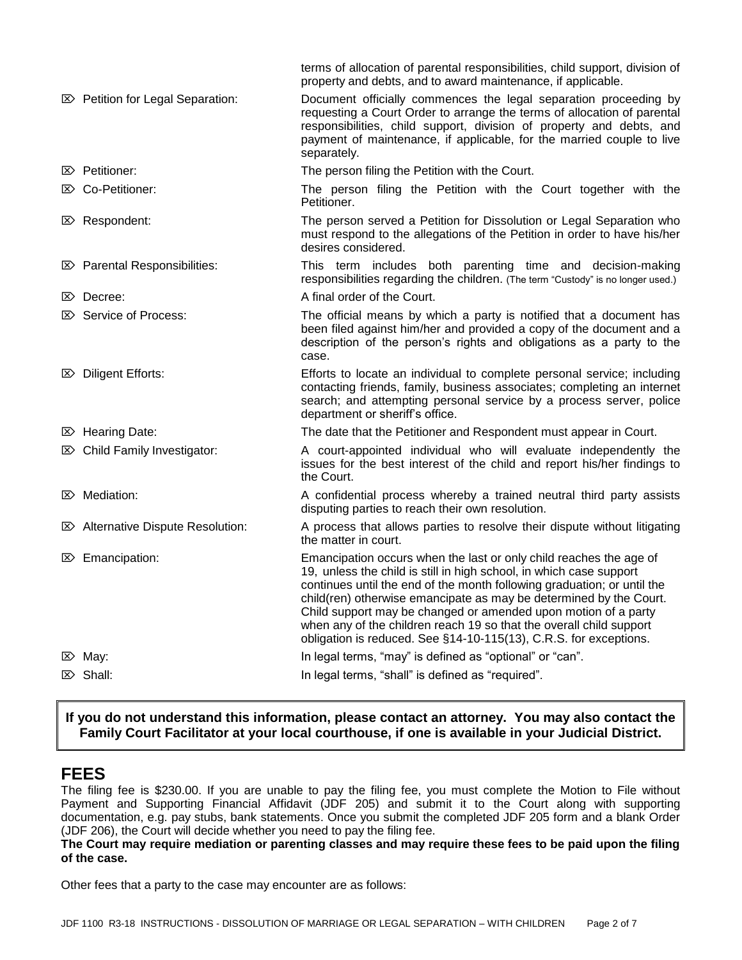|                                              | terms of allocation of parental responsibilities, child support, division of<br>property and debts, and to award maintenance, if applicable.                                                                                                                                                                                                                                                                                                                                                             |  |  |
|----------------------------------------------|----------------------------------------------------------------------------------------------------------------------------------------------------------------------------------------------------------------------------------------------------------------------------------------------------------------------------------------------------------------------------------------------------------------------------------------------------------------------------------------------------------|--|--|
| <b>E&gt;</b> Petition for Legal Separation:  | Document officially commences the legal separation proceeding by<br>requesting a Court Order to arrange the terms of allocation of parental<br>responsibilities, child support, division of property and debts, and<br>payment of maintenance, if applicable, for the married couple to live<br>separately.                                                                                                                                                                                              |  |  |
| $\mathbb{Z}$ Petitioner:                     | The person filing the Petition with the Court.                                                                                                                                                                                                                                                                                                                                                                                                                                                           |  |  |
| <b>E&gt;</b> Co-Petitioner:                  | The person filing the Petition with the Court together with the<br>Petitioner.                                                                                                                                                                                                                                                                                                                                                                                                                           |  |  |
| $\mathbb{Z}$ Respondent:                     | The person served a Petition for Dissolution or Legal Separation who<br>must respond to the allegations of the Petition in order to have his/her<br>desires considered.                                                                                                                                                                                                                                                                                                                                  |  |  |
| <b>E&gt;</b> Parental Responsibilities:      | This term includes both parenting time and decision-making<br>responsibilities regarding the children. (The term "Custody" is no longer used.)                                                                                                                                                                                                                                                                                                                                                           |  |  |
| $\mathbb{Z}$ Decree:                         | A final order of the Court.                                                                                                                                                                                                                                                                                                                                                                                                                                                                              |  |  |
| $\mathbb{Z}$ Service of Process:             | The official means by which a party is notified that a document has<br>been filed against him/her and provided a copy of the document and a<br>description of the person's rights and obligations as a party to the<br>case.                                                                                                                                                                                                                                                                             |  |  |
| <b>E&gt;</b> Diligent Efforts:               | Efforts to locate an individual to complete personal service; including<br>contacting friends, family, business associates; completing an internet<br>search; and attempting personal service by a process server, police<br>department or sheriff's office.                                                                                                                                                                                                                                             |  |  |
| $\boxtimes$ Hearing Date:                    | The date that the Petitioner and Respondent must appear in Court.                                                                                                                                                                                                                                                                                                                                                                                                                                        |  |  |
| $\mathbb{Z}$ Child Family Investigator:      | A court-appointed individual who will evaluate independently the<br>issues for the best interest of the child and report his/her findings to<br>the Court.                                                                                                                                                                                                                                                                                                                                               |  |  |
| $\mathbb{Z}$ Mediation:                      | A confidential process whereby a trained neutral third party assists<br>disputing parties to reach their own resolution.                                                                                                                                                                                                                                                                                                                                                                                 |  |  |
| <b>E&gt;</b> Alternative Dispute Resolution: | A process that allows parties to resolve their dispute without litigating<br>the matter in court.                                                                                                                                                                                                                                                                                                                                                                                                        |  |  |
| $\mathbb{Z}$ Emancipation:                   | Emancipation occurs when the last or only child reaches the age of<br>19, unless the child is still in high school, in which case support<br>continues until the end of the month following graduation; or until the<br>child(ren) otherwise emancipate as may be determined by the Court.<br>Child support may be changed or amended upon motion of a party<br>when any of the children reach 19 so that the overall child support<br>obligation is reduced. See §14-10-115(13), C.R.S. for exceptions. |  |  |
| $\mathbb{Z}$ May:                            | In legal terms, "may" is defined as "optional" or "can".                                                                                                                                                                                                                                                                                                                                                                                                                                                 |  |  |
| $\mathbb{Z}$ Shall:                          | In legal terms, "shall" is defined as "required".                                                                                                                                                                                                                                                                                                                                                                                                                                                        |  |  |
|                                              |                                                                                                                                                                                                                                                                                                                                                                                                                                                                                                          |  |  |

## **If you do not understand this information, please contact an attorney. You may also contact the Family Court Facilitator at your local courthouse, if one is available in your Judicial District.**

# **FEES**

The filing fee is \$230.00. If you are unable to pay the filing fee, you must complete the Motion to File without Payment and Supporting Financial Affidavit (JDF 205) and submit it to the Court along with supporting documentation, e.g. pay stubs, bank statements. Once you submit the completed JDF 205 form and a blank Order (JDF 206), the Court will decide whether you need to pay the filing fee.

**The Court may require mediation or parenting classes and may require these fees to be paid upon the filing of the case.**

Other fees that a party to the case may encounter are as follows: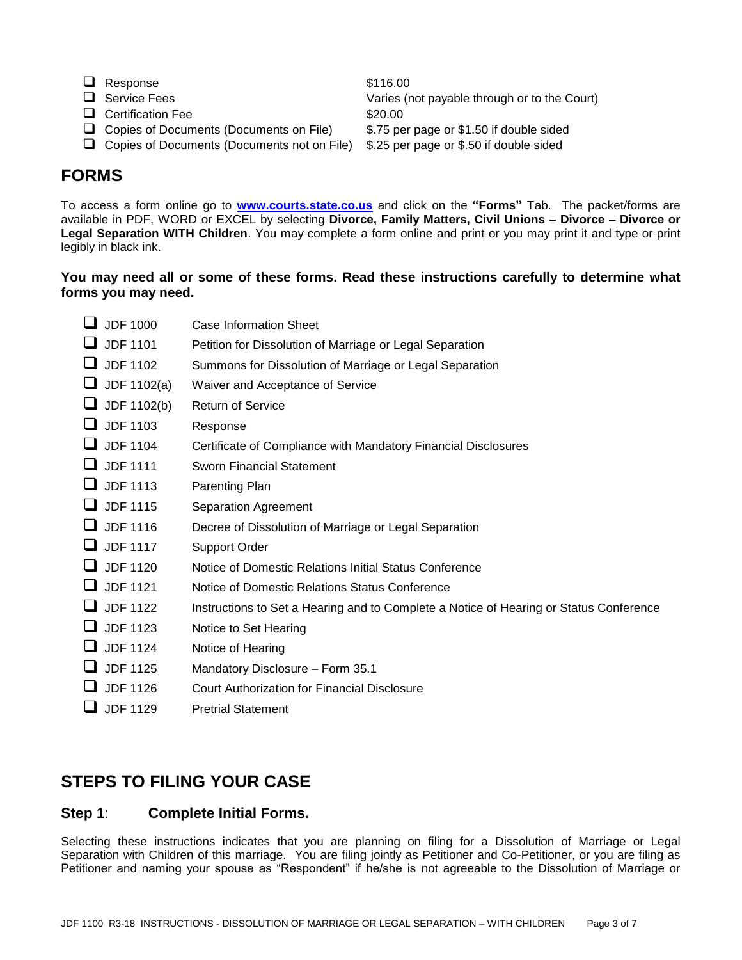- $\Box$  Response  $$116.00$
- 
- □ Certification Fee \$20.00
- □ Copies of Documents (Documents on File) \$.75 per page or \$1.50 if double sided
- □ Copies of Documents (Documents not on File) \$.25 per page or \$.50 if double sided

Service Fees Varies (not payable through or to the Court)

# **FORMS**

To access a form online go to **[www.courts.state.co.us](http://www.courts.state.co.us/)** and click on the **"Forms"** Tab. The packet/forms are available in PDF, WORD or EXCEL by selecting **Divorce, Family Matters, Civil Unions – Divorce – Divorce or Legal Separation WITH Children**. You may complete a form online and print or you may print it and type or print legibly in black ink.

### **You may need all or some of these forms. Read these instructions carefully to determine what forms you may need.**

| Case Information Sheet                                                                 |
|----------------------------------------------------------------------------------------|
| Petition for Dissolution of Marriage or Legal Separation                               |
| Summons for Dissolution of Marriage or Legal Separation                                |
| Waiver and Acceptance of Service                                                       |
| <b>Return of Service</b>                                                               |
| Response                                                                               |
| Certificate of Compliance with Mandatory Financial Disclosures                         |
| <b>Sworn Financial Statement</b>                                                       |
| Parenting Plan                                                                         |
| Separation Agreement                                                                   |
| Decree of Dissolution of Marriage or Legal Separation                                  |
| <b>Support Order</b>                                                                   |
| Notice of Domestic Relations Initial Status Conference                                 |
| Notice of Domestic Relations Status Conference                                         |
| Instructions to Set a Hearing and to Complete a Notice of Hearing or Status Conference |
| Notice to Set Hearing                                                                  |
| Notice of Hearing                                                                      |
| Mandatory Disclosure - Form 35.1                                                       |
| Court Authorization for Financial Disclosure                                           |
| <b>Pretrial Statement</b>                                                              |
|                                                                                        |

# **STEPS TO FILING YOUR CASE**

## **Step 1**: **Complete Initial Forms.**

Selecting these instructions indicates that you are planning on filing for a Dissolution of Marriage or Legal Separation with Children of this marriage. You are filing jointly as Petitioner and Co-Petitioner, or you are filing as Petitioner and naming your spouse as "Respondent" if he/she is not agreeable to the Dissolution of Marriage or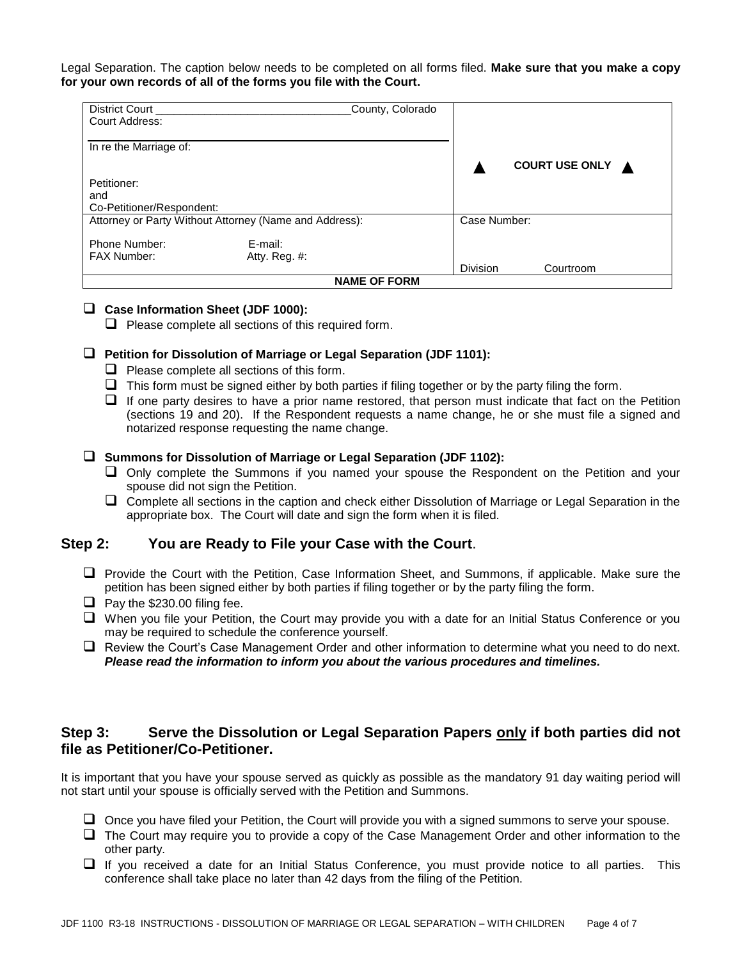Legal Separation. The caption below needs to be completed on all forms filed. **Make sure that you make a copy for your own records of all of the forms you file with the Court.**

| County, Colorado<br>District Court                     |                  |                       |           |  |  |
|--------------------------------------------------------|------------------|-----------------------|-----------|--|--|
| Court Address:                                         |                  |                       |           |  |  |
|                                                        |                  |                       |           |  |  |
| In re the Marriage of:                                 |                  |                       |           |  |  |
|                                                        |                  | <b>COURT USE ONLY</b> |           |  |  |
| Petitioner:                                            |                  |                       |           |  |  |
| and                                                    |                  |                       |           |  |  |
| Co-Petitioner/Respondent:                              |                  |                       |           |  |  |
| Attorney or Party Without Attorney (Name and Address): | Case Number:     |                       |           |  |  |
|                                                        |                  |                       |           |  |  |
| Phone Number:                                          | E-mail:          |                       |           |  |  |
| <b>FAX Number:</b>                                     | Atty. Reg. $#$ : |                       |           |  |  |
|                                                        |                  | <b>Division</b>       | Courtroom |  |  |
| <b>NAME OF FORM</b>                                    |                  |                       |           |  |  |

### **Case Information Sheet (JDF 1000):**

 $\Box$  Please complete all sections of this required form.

### **Petition for Dissolution of Marriage or Legal Separation (JDF 1101):**

- $\Box$  Please complete all sections of this form.
- $\Box$  This form must be signed either by both parties if filing together or by the party filing the form.
- $\Box$  If one party desires to have a prior name restored, that person must indicate that fact on the Petition (sections 19 and 20). If the Respondent requests a name change, he or she must file a signed and notarized response requesting the name change.

### **Summons for Dissolution of Marriage or Legal Separation (JDF 1102):**

- Only complete the Summons if you named your spouse the Respondent on the Petition and your spouse did not sign the Petition.
- $\Box$  Complete all sections in the caption and check either Dissolution of Marriage or Legal Separation in the appropriate box. The Court will date and sign the form when it is filed.

## **Step 2: You are Ready to File your Case with the Court**.

- $\Box$  Provide the Court with the Petition, Case Information Sheet, and Summons, if applicable. Make sure the petition has been signed either by both parties if filing together or by the party filing the form.
- $\Box$  Pay the \$230.00 filing fee.
- □ When you file your Petition, the Court may provide you with a date for an Initial Status Conference or you may be required to schedule the conference yourself.
- Review the Court's Case Management Order and other information to determine what you need to do next. *Please read the information to inform you about the various procedures and timelines.*

## **Step 3: Serve the Dissolution or Legal Separation Papers only if both parties did not file as Petitioner/Co-Petitioner.**

It is important that you have your spouse served as quickly as possible as the mandatory 91 day waiting period will not start until your spouse is officially served with the Petition and Summons.

- $\Box$  Once you have filed your Petition, the Court will provide you with a signed summons to serve your spouse.
- $\Box$  The Court may require you to provide a copy of the Case Management Order and other information to the other party.
- $\Box$  If you received a date for an Initial Status Conference, you must provide notice to all parties. This conference shall take place no later than 42 days from the filing of the Petition.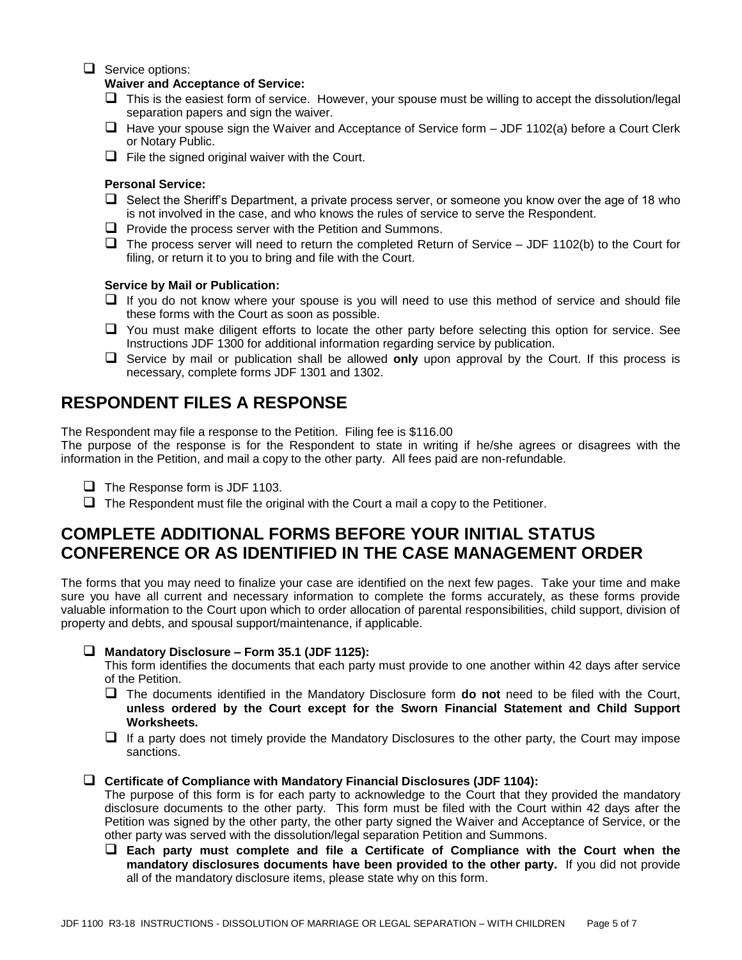### $\Box$  Service options:

#### **Waiver and Acceptance of Service:**

- $\Box$  This is the easiest form of service. However, your spouse must be willing to accept the dissolution/legal separation papers and sign the waiver.
- $\Box$  Have your spouse sign the Waiver and Acceptance of Service form  $-JDF$  1102(a) before a Court Clerk or Notary Public.
- $\Box$  File the signed original waiver with the Court.

#### **Personal Service:**

- $\Box$  Select the Sheriff's Department, a private process server, or someone you know over the age of 18 who is not involved in the case, and who knows the rules of service to serve the Respondent.
- $\Box$  Provide the process server with the Petition and Summons.
- $\Box$  The process server will need to return the completed Return of Service JDF 1102(b) to the Court for filing, or return it to you to bring and file with the Court.

#### **Service by Mail or Publication:**

- $\Box$  If you do not know where your spouse is you will need to use this method of service and should file these forms with the Court as soon as possible.
- $\Box$  You must make diligent efforts to locate the other party before selecting this option for service. See Instructions JDF 1300 for additional information regarding service by publication.
- Service by mail or publication shall be allowed **only** upon approval by the Court. If this process is necessary, complete forms JDF 1301 and 1302.

## **RESPONDENT FILES A RESPONSE**

The Respondent may file a response to the Petition. Filing fee is \$116.00

The purpose of the response is for the Respondent to state in writing if he/she agrees or disagrees with the information in the Petition, and mail a copy to the other party. All fees paid are non-refundable.

- $\Box$  The Response form is JDF 1103.
- $\Box$  The Respondent must file the original with the Court a mail a copy to the Petitioner.

# **COMPLETE ADDITIONAL FORMS BEFORE YOUR INITIAL STATUS CONFERENCE OR AS IDENTIFIED IN THE CASE MANAGEMENT ORDER**

The forms that you may need to finalize your case are identified on the next few pages. Take your time and make sure you have all current and necessary information to complete the forms accurately, as these forms provide valuable information to the Court upon which to order allocation of parental responsibilities, child support, division of property and debts, and spousal support/maintenance, if applicable.

#### **Mandatory Disclosure – Form 35.1 (JDF 1125):**

This form identifies the documents that each party must provide to one another within 42 days after service of the Petition.

- The documents identified in the Mandatory Disclosure form **do not** need to be filed with the Court, **unless ordered by the Court except for the Sworn Financial Statement and Child Support Worksheets.**
- $\Box$  If a party does not timely provide the Mandatory Disclosures to the other party, the Court may impose sanctions.

#### **Certificate of Compliance with Mandatory Financial Disclosures (JDF 1104):**

The purpose of this form is for each party to acknowledge to the Court that they provided the mandatory disclosure documents to the other party. This form must be filed with the Court within 42 days after the Petition was signed by the other party, the other party signed the Waiver and Acceptance of Service, or the other party was served with the dissolution/legal separation Petition and Summons.

 **Each party must complete and file a Certificate of Compliance with the Court when the mandatory disclosures documents have been provided to the other party.** If you did not provide all of the mandatory disclosure items, please state why on this form.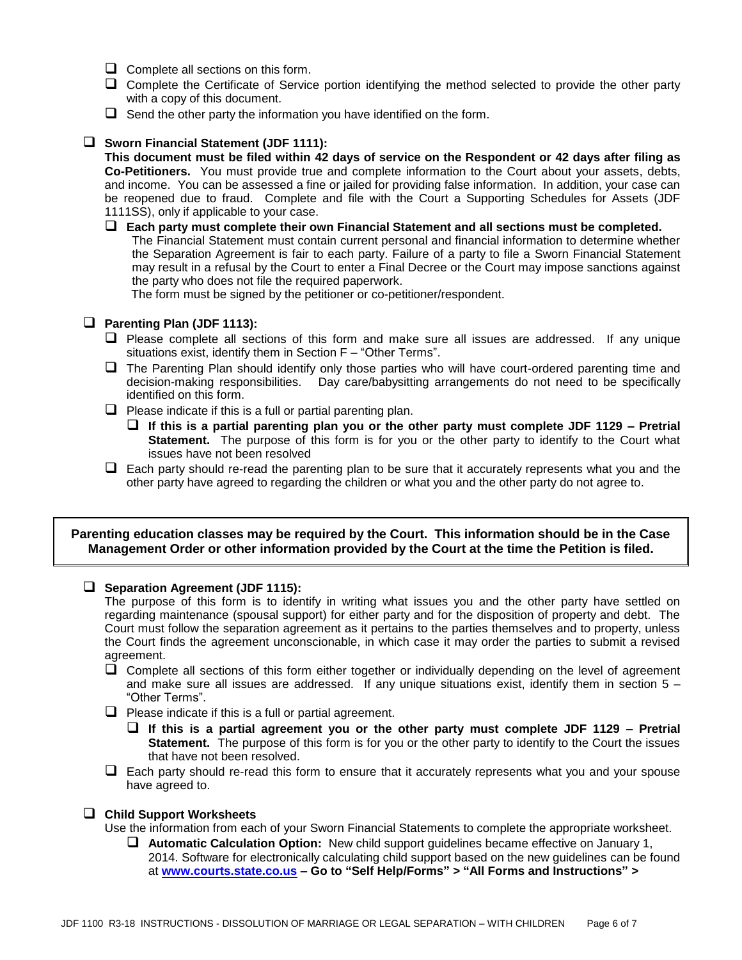- $\Box$  Complete all sections on this form.
- Complete the Certificate of Service portion identifying the method selected to provide the other party with a copy of this document.
- $\Box$  Send the other party the information you have identified on the form.

### **Sworn Financial Statement (JDF 1111):**

**This document must be filed within 42 days of service on the Respondent or 42 days after filing as Co-Petitioners.** You must provide true and complete information to the Court about your assets, debts, and income. You can be assessed a fine or jailed for providing false information. In addition, your case can be reopened due to fraud. Complete and file with the Court a Supporting Schedules for Assets (JDF 1111SS), only if applicable to your case.

 **Each party must complete their own Financial Statement and all sections must be completed.** The Financial Statement must contain current personal and financial information to determine whether the Separation Agreement is fair to each party. Failure of a party to file a Sworn Financial Statement may result in a refusal by the Court to enter a Final Decree or the Court may impose sanctions against the party who does not file the required paperwork.

The form must be signed by the petitioner or co-petitioner/respondent.

### **Parenting Plan (JDF 1113):**

- $\Box$  Please complete all sections of this form and make sure all issues are addressed. If any unique situations exist, identify them in Section F – "Other Terms".
- $\Box$  The Parenting Plan should identify only those parties who will have court-ordered parenting time and decision-making responsibilities. Day care/babysitting arrangements do not need to be specifically identified on this form.
- $\Box$  Please indicate if this is a full or partial parenting plan.
	- **If this is a partial parenting plan you or the other party must complete JDF 1129 – Pretrial Statement.** The purpose of this form is for you or the other party to identify to the Court what issues have not been resolved
- $\Box$  Each party should re-read the parenting plan to be sure that it accurately represents what you and the other party have agreed to regarding the children or what you and the other party do not agree to.

### **Parenting education classes may be required by the Court. This information should be in the Case Management Order or other information provided by the Court at the time the Petition is filed.**

### **Separation Agreement (JDF 1115):**

The purpose of this form is to identify in writing what issues you and the other party have settled on regarding maintenance (spousal support) for either party and for the disposition of property and debt. The Court must follow the separation agreement as it pertains to the parties themselves and to property, unless the Court finds the agreement unconscionable, in which case it may order the parties to submit a revised agreement.

- $\Box$  Complete all sections of this form either together or individually depending on the level of agreement and make sure all issues are addressed. If any unique situations exist, identify them in section  $5 -$ "Other Terms".
- $\Box$  Please indicate if this is a full or partial agreement.
	- **If this is a partial agreement you or the other party must complete JDF 1129 – Pretrial Statement.** The purpose of this form is for you or the other party to identify to the Court the issues that have not been resolved.
- $\Box$  Each party should re-read this form to ensure that it accurately represents what you and your spouse have agreed to.

### **Child Support Worksheets**

Use the information from each of your Sworn Financial Statements to complete the appropriate worksheet.

 **Automatic Calculation Option:** New child support guidelines became effective on January 1, 2014. Software for electronically calculating child support based on the new guidelines can be found at **[www.courts.state.co.us](http://www.courts.state.co.us/) – Go to "Self Help/Forms" > "All Forms and Instructions" >**